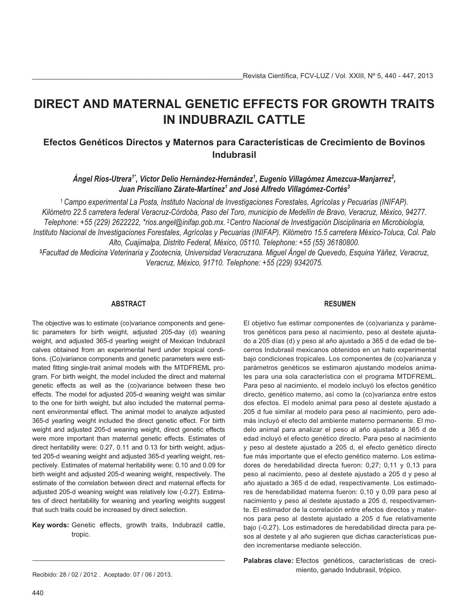# **DIRECT AND MATERNAL GENETIC EFFECTS FOR GROWTH TRAITS IN INDUBRAZIL CATTLE**

# **Efectos Genéticos Directos y Maternos para Características de Crecimiento de Bovinos Indubrasil**

*Ángel Ríos-Utrera1\*, Víctor Delio Hernández-Hernández1 , Eugenio Villagómez Amezcua-Manjarrez2 , Juan Prisciliano Zárate-Martínez1 and José Alfredo Villagómez-Cortés3*

*Campo experimental La Posta, Instituto Nacional de Investigaciones Forestales, Agrícolas y Pecuarias (INIFAP). Kilómetro 22.5 carretera federal Veracruz-Córdoba, Paso del Toro, municipio de Medellín de Bravo, Veracruz, México, 94277. Telephone: +55 (229) 2622222, \*rios.angel@inifap.gob.mx.* -*Centro Nacional de Investigación Disciplinaria en Microbiología, Instituto Nacional de Investigaciones Forestales, Agrícolas y Pecuarias (INIFAP). Kilómetro 15.5 carretera México-Toluca, Col. Palo Alto, Cuajimalpa, Distrito Federal, México, 05110. Telephone: +55 (55) 36180800.*

**<sup>3</sup>***Facultad de Medicina Veterinaria y Zootecnia, Universidad Veracruzana. Miguel Ángel de Quevedo, Esquina Yáñez, Veracruz, Veracruz, México, 91710. Telephone: +55 (229) 9342075.*

# **ABSTRACT**

The objective was to estimate (co)variance components and genetic parameters for birth weight, adjusted 205-day (d) weaning weight, and adjusted 365-d yearling weight of Mexican Indubrazil calves obtained from an experimental herd under tropical conditions. (Co)variance components and genetic parameters were estimated fitting single-trait animal models with the MTDFREML program. For birth weight, the model included the direct and maternal genetic effects as well as the (co)variance between these two effects. The model for adjusted 205-d weaning weight was similar to the one for birth weight, but also included the maternal permanent environmental effect. The animal model to analyze adjusted 365-d yearling weight included the direct genetic effect. For birth weight and adjusted 205-d weaning weight, direct genetic effects were more important than maternal genetic effects. Estimates of direct heritability were: 0.27, 0.11 and 0.13 for birth weight, adjusted 205-d weaning weight and adjusted 365-d yearling weight, respectively. Estimates of maternal heritability were: 0.10 and 0.09 for birth weight and adjusted 205-d weaning weight, respectively. The estimate of the correlation between direct and maternal effects for adjusted 205-d weaning weight was relatively low (-0.27). Estimates of direct heritability for weaning and yearling weights suggest that such traits could be increased by direct selection.

**Key words:** Genetic effects, growth traits, Indubrazil cattle, tropic.

# **RESUMEN**

El objetivo fue estimar componentes de (co)varianza y parámetros genéticos para peso al nacimiento, peso al destete ajustado a 205 días (d) y peso al año ajustado a 365 d de edad de becerros Indubrasil mexicanos obtenidos en un hato experimental bajo condiciones tropicales. Los componentes de (co)varianza y parámetros genéticos se estimaron ajustando modelos animales para una sola característica con el programa MTDFREML. Para peso al nacimiento, el modelo incluyó los efectos genético directo, genético materno, así como la (co)varianza entre estos dos efectos. El modelo animal para peso al destete ajustado a 205 d fue similar al modelo para peso al nacimiento, pero además incluyó el efecto del ambiente materno permanente. El modelo animal para analizar el peso al año ajustado a 365 d de edad incluyó el efecto genético directo. Para peso al nacimiento y peso al destete ajustado a 205 d, el efecto genético directo fue más importante que el efecto genético materno. Los estimadores de heredabilidad directa fueron: 0,27; 0,11 y 0,13 para peso al nacimiento, peso al destete ajustado a 205 d y peso al año ajustado a 365 d de edad, respectivamente. Los estimadores de heredabilidad materna fueron: 0,10 y 0,09 para peso al nacimiento y peso al destete ajustado a 205 d, respectivamente. El estimador de la correlación entre efectos directos y maternos para peso al destete ajustado a 205 d fue relativamente bajo (-0,27). Los estimadores de heredabilidad directa para pesos al destete y al año sugieren que dichas características pueden incrementarse mediante selección.

Palabras clave: Efectos genéticos, características de crecimiento, ganado Indubrasil, trópico.

Recibido: 28 / 02 / 2012 . Aceptado: 07 / 06 / 2013.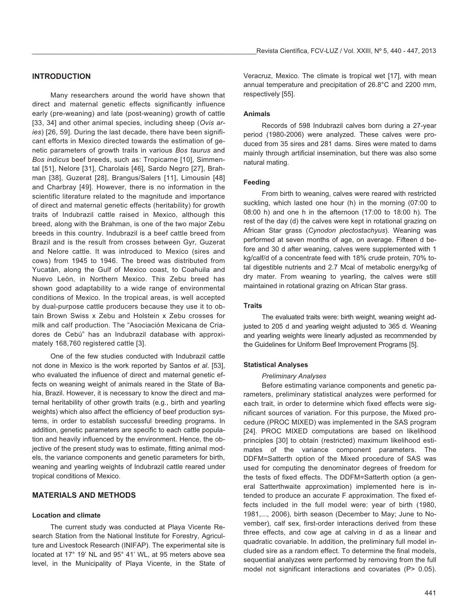# **INTRODUCTION**

Many researchers around the world have shown that direct and maternal genetic effects significantly influence early (pre-weaning) and late (post-weaning) growth of cattle [33, 34] and other animal species, including sheep (*Ovis aries*) [26, 59]. During the last decade, there have been significant efforts in Mexico directed towards the estimation of genetic parameters of growth traits in various *Bos taurus* and *Bos indicus* beef breeds, such as: Tropicarne [10], Simmental [51], Nelore [31], Charolais [46], Sardo Negro [27], Brahman [38], Guzerat [28], Brangus/Salers [11], Limousin [48] and Charbray [49]. However, there is no information in the scientific literature related to the magnitude and importance of direct and maternal genetic effects (heritability) for growth traits of Indubrazil cattle raised in Mexico, although this breed, along with the Brahman, is one of the two major Zebu breeds in this country. Indubrazil is a beef cattle breed from Brazil and is the result from crosses between Gyr, Guzerat and Nelore cattle. It was introduced to Mexico (sires and cows) from 1945 to 1946. The breed was distributed from Yucatán, along the Gulf of Mexico coast, to Coahuila and Nuevo León, in Northern Mexico. This Zebu breed has shown good adaptability to a wide range of environmental conditions of Mexico. In the tropical areas, is well accepted by dual-purpose cattle producers because they use it to obtain Brown Swiss x Zebu and Holstein x Zebu crosses for milk and calf production. The "Asociación Mexicana de Criadores de Cebú" has an Indubrazil database with approximately 168,760 registered cattle [3].

One of the few studies conducted with Indubrazil cattle not done in Mexico is the work reported by Santos *et al*. [53], who evaluated the influence of direct and maternal genetic effects on weaning weight of animals reared in the State of Bahia, Brazil. However, it is necessary to know the direct and maternal heritability of other growth traits (e.g., birth and yearling weights) which also affect the efficiency of beef production systems, in order to establish successful breeding programs. In addition, genetic parameters are specific to each cattle population and heavily influenced by the environment. Hence, the objective of the present study was to estimate, fitting animal models, the variance components and genetic parameters for birth, weaning and yearling weights of Indubrazil cattle reared under tropical conditions of Mexico.

# **MATERIALS AND METHODS**

#### **Location and climate**

The current study was conducted at Playa Vicente Research Station from the National Institute for Forestry, Agriculture and Livestock Research (INIFAP). The experimental site is located at 17° 19' NL and 95° 41' WL, at 95 meters above sea level, in the Municipality of Playa Vicente, in the State of Veracruz, Mexico. The climate is tropical wet [17], with mean annual temperature and precipitation of 26.8°C and 2200 mm, respectively [55].

## **Animals**

Records of 598 Indubrazil calves born during a 27-year period (1980-2006) were analyzed. These calves were produced from 35 sires and 281 dams. Sires were mated to dams mainly through artificial insemination, but there was also some natural mating.

#### **Feeding**

From birth to weaning, calves were reared with restricted suckling, which lasted one hour (h) in the morning (07:00 to 08:00 h) and one h in the afternoon (17:00 to 18:00 h). The rest of the day (d) the calves were kept in rotational grazing on African Star grass (*Cynodon plectostachyus*). Weaning was performed at seven months of age, on average. Fifteen d before and 30 d after weaning, calves were supplemented with 1 kg/calf/d of a concentrate feed with 18% crude protein, 70% total digestible nutrients and 2.7 Mcal of metabolic energy/kg of dry mater. From weaning to yearling, the calves were still maintained in rotational grazing on African Star grass.

#### **Traits**

The evaluated traits were: birth weight, weaning weight adjusted to 205 d and yearling weight adjusted to 365 d. Weaning and yearling weights were linearly adjusted as recommended by the Guidelines for Uniform Beef Improvement Programs [5].

#### **Statistical Analyses**

#### *Preliminary Analyses*

Before estimating variance components and genetic parameters, preliminary statistical analyzes were performed for each trait, in order to determine which fixed effects were significant sources of variation. For this purpose, the Mixed procedure (PROC MIXED) was implemented in the SAS program [24]. PROC MIXED computations are based on likelihood principles [30] to obtain (restricted) maximum likelihood estimates of the variance component parameters. The DDFM=Satterth option of the Mixed procedure of SAS was used for computing the denominator degrees of freedom for the tests of fixed effects. The DDFM=Satterth option (a general Satterthwaite approximation) implemented here is intended to produce an accurate F approximation. The fixed effects included in the full model were: year of birth (1980, 1981,..., 2006), birth season (December to May; June to November), calf sex, first-order interactions derived from these three effects, and cow age at calving in d as a linear and quadratic covariable. In addition, the preliminary full model included sire as a random effect. To determine the final models, sequential analyzes were performed by removing from the full model not significant interactions and covariates (P> 0.05).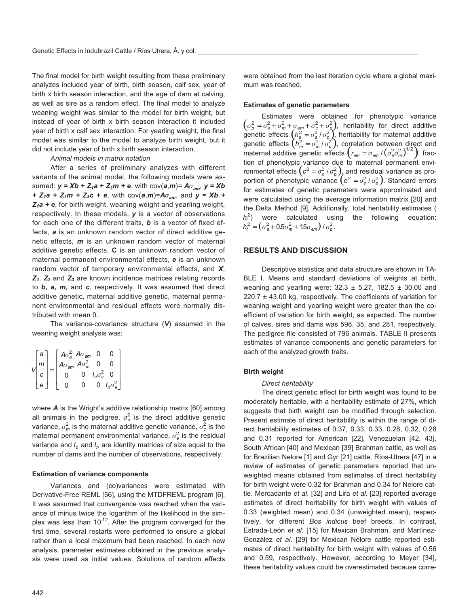The final model for birth weight resulting from these preliminary analyzes included year of birth, birth season, calf sex, year of birth x birth season interaction, and the age of dam at calving, as well as sire as a random effect. The final model to analyze weaning weight was similar to the model for birth weight, but instead of year of birth x birth season interaction it included year of birth x calf sex interaction. For yearling weight, the final model was similar to the model to analyze birth weight, but it did not include year of birth x birth season interaction.

#### *Animal models in matrix notation*

After a series of preliminary analyzes with different variants of the animal model, the following models were assumed: *y = Xb + Za+Z*-*m+e*, with cov(*a*,*m*)= *A*--, *y = Xb + Za+Z*-*m+Zc+e*, with cov(*a*,*m*)=*A*--, and *y = Xb + Za+e*, for birth weight, weaning weight and yearling weight, respectively. In these models, *y* is a vector of observations for each one of the different traits, *b* is a vector of fixed effects, *a* is an unknown random vector of direct additive genetic effects, *m* is an unknown random vector of maternal additive genetic effects, **C** is an unknown random vector of maternal permanent environmental effects, *e* is an unknown random vector of temporary environmental effects, and *X*, *Z*, *Z*- and *Z* are known incidence matrices relating records to *b, a, m,* and *c*, respectively. It was assumed that direct additive genetic, maternal additive genetic, maternal permanent environmental and residual effects were normally distributed with mean 0.

The variance-covariance structure (*V*) assumed in the weaning weight analysis was:

| $\sqrt{ }$ |  |  | $A\sigma_a^2$ $A\sigma_{am}$ |          |                  |                        |  |
|------------|--|--|------------------------------|----------|------------------|------------------------|--|
|            |  |  | $A\sigma_{am}$ $A\sigma_m^2$ |          | ი                |                        |  |
|            |  |  | $\Omega$                     | $\Omega$ | $l_c \sigma_c^2$ | $\Omega$               |  |
|            |  |  |                              |          | 0                | $I_n \sigma_{\rm e}^2$ |  |

where *A* is the Wright's additive relationship matrix [60] among all animals in the pedigree,  $\sigma_{\mathsf{a}}^2$  is the direct additive genetic variance,  $\sigma_m^2$  is the maternal additive genetic variance,  $\sigma_{\mathsf{c}}^2$  is the maternal permanent environmental variance,  $\sigma_{\mathsf{e}}^2$  is the residual variance and  $I_c$  and  $I_n$  are identity matrices of size equal to the number of dams and the number of observations, respectively.

#### **Estimation of variance components**

Variances and (co)variances were estimated with Derivative-Free REML [56], using the MTDFREML program [6]. It was assumed that convergence was reached when the variance of minus twice the logarithm of the likelihood in the simplex was less than  $10^{-12}$ . After the program converged for the first time, several restarts were performed to ensure a global rather than a local maximum had been reached. In each new analysis, parameter estimates obtained in the previous analysis were used as initial values. Solutions of random effects

were obtained from the last iteration cycle where a global maximum was reached.

#### **Estimates of genetic parameters**

Estimates were obtained for phenotypic variance  $(\sigma_p^2 = \sigma_a^2 + \sigma_m^2 + \sigma_{am} + \sigma_c^2 + \sigma_e^2)$ , heritability for direct additive genetic effects  $\left(h_a^2 = \sigma_a^2 / \sigma_p^2\right)$ , heritability for maternal additive genetic effects  $(h_m^2 = \sigma_m^2 / \sigma_p^2)$ , correlation between direct and maternal additive genetic effects  $\left(r_{am} = \sigma_{am} / (\sigma_a^2 \sigma_m^2)^{1/2}\right)$ , fraction of phenotypic variance due to maternal permanent environmental effects  $\left(c^2=\sigma_c^2 \, / \, \sigma_\rho^2 \right)$  and residual variance as proportion of phenotypic variance  $(e^2 = \sigma_e^2/\sigma_p^2)$ . Standard errors for estimates of genetic parameters were approximated and were calculated using the average information matrix [20] and the Delta Method [9]. Additionally, total heritability estimates (  $h_t^2$ ) were calculated using the following equation:  $h_t^2 = \left(\sigma_a^2 + 0.5\sigma_m^2 + 15\sigma_{am}\right) / \sigma_p^2$ .

#### **RESULTS AND DISCUSSION**

Descriptive statistics and data structure are shown in TA-BLE I. Means and standard deviations of weights at birth, weaning and yearling were:  $32.3 \pm 5.27$ , 182.5  $\pm$  30.00 and 220.7 ± 43.00 kg, respectively. The coefficients of variation for weaning weight and yearling weight were greater than the coefficient of variation for birth weight, as expected. The number of calves, sires and dams was 598, 35, and 281, respectively. The pedigree file consisted of 796 animals. TABLE II presents estimates of variance components and genetic parameters for each of the analyzed growth traits.

#### **Birth weight**

#### *Direct heritability*

The direct genetic effect for birth weight was found to be moderately heritable, with a heritability estimate of 27%, which suggests that birth weight can be modified through selection. Present estimate of direct heritability is within the range of direct heritability estimates of 0.37, 0.33, 0.33, 0.28, 0.32, 0.28 and 0.31 reported for American [22], Venezuelan [42, 43], South African [40] and Mexican [39] Brahman cattle, as well as for Brazilian Nelore [1] and Gyr [21] cattle. Ríos-Utrera [47] in a review of estimates of genetic parameters reported that unweighted means obtained from estimates of direct heritability for birth weight were 0.32 for Brahman and 0.34 for Nelore cattle. Mercadante *et al*. [32] and Lira *et al*. [23] reported average estimates of direct heritability for birth weight with values of 0.33 (weighted mean) and 0.34 (unweighted mean), respectively, for different *Bos indicus* beef breeds. In contrast, Estrada-León *et al*. [15] for Mexican Brahman, and Martínez-González *et al*. [29] for Mexican Nelore cattle reported estimates of direct heritability for birth weight with values of 0.56 and 0.59, respectively. However, according to Meyer [34], these heritability values could be overestimated because corre-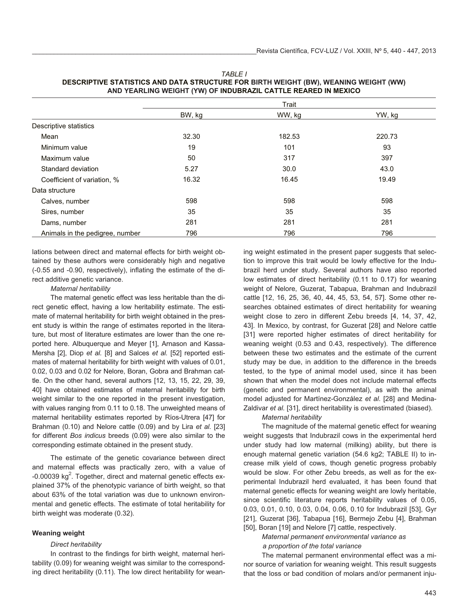|                                 | Trait  |        |        |
|---------------------------------|--------|--------|--------|
|                                 | BW, kg | WW, kg | YW, kg |
| Descriptive statistics          |        |        |        |
| Mean                            | 32.30  | 182.53 | 220.73 |
| Minimum value                   | 19     | 101    | 93     |
| Maximum value                   | 50     | 317    | 397    |
| Standard deviation              | 5.27   | 30.0   | 43.0   |
| Coefficient of variation, %     | 16.32  | 16.45  | 19.49  |
| Data structure                  |        |        |        |
| Calves, number                  | 598    | 598    | 598    |
| Sires, number                   | 35     | 35     | 35     |
| Dams, number                    | 281    | 281    | 281    |
| Animals in the pedigree, number | 796    | 796    | 796    |

*TABLE I* **DESCRIPTIVE STATISTICS AND DATA STRUCTURE FOR BIRTH WEIGHT (BW), WEANING WEIGHT (WW) AND YEARLING WEIGHT (YW) OF INDUBRAZIL CATTLE REARED IN MEXICO**

lations between direct and maternal effects for birth weight obtained by these authors were considerably high and negative (-0.55 and -0.90, respectively), inflating the estimate of the direct additive genetic variance.

# *Maternal heritability*

The maternal genetic effect was less heritable than the direct genetic effect, having a low heritability estimate. The estimate of maternal heritability for birth weight obtained in the present study is within the range of estimates reported in the literature, but most of literature estimates are lower than the one reported here. Albuquerque and Meyer [1], Arnason and Kassa-Mersha [2], Diop *et al.* [8] and Salces *et al.* [52] reported estimates of maternal heritability for birth weight with values of 0.01, 0.02, 0.03 and 0.02 for Nelore, Boran, Gobra and Brahman cattle. On the other hand, several authors [12, 13, 15, 22, 29, 39, 40] have obtained estimates of maternal heritability for birth weight similar to the one reported in the present investigation, with values ranging from 0.11 to 0.18. The unweighted means of maternal heritability estimates reported by Ríos-Utrera [47] for Brahman (0.10) and Nelore cattle (0.09) and by Lira *et al.* [23] for different *Bos indicus* breeds (0.09) were also similar to the corresponding estimate obtained in the present study.

The estimate of the genetic covariance between direct and maternal effects was practically zero, with a value of  $-0.00039$  kg<sup>2</sup>. Together, direct and maternal genetic effects explained 37% of the phenotypic variance of birth weight, so that about 63% of the total variation was due to unknown environmental and genetic effects. The estimate of total heritability for birth weight was moderate (0.32).

# **Weaning weight**

#### *Direct heritability*

In contrast to the findings for birth weight, maternal heritability (0.09) for weaning weight was similar to the corresponding direct heritability (0.11). The low direct heritability for weaning weight estimated in the present paper suggests that selection to improve this trait would be lowly effective for the Indubrazil herd under study. Several authors have also reported low estimates of direct heritability (0.11 to 0.17) for weaning weight of Nelore, Guzerat, Tabapua, Brahman and Indubrazil cattle [12, 16, 25, 36, 40, 44, 45, 53, 54, 57]. Some other researches obtained estimates of direct heritability for weaning weight close to zero in different Zebu breeds [4, 14, 37, 42, 43]. In Mexico, by contrast, for Guzerat [28] and Nelore cattle [31] were reported higher estimates of direct heritability for weaning weight (0.53 and 0.43, respectively). The difference between these two estimates and the estimate of the current study may be due, in addition to the difference in the breeds tested, to the type of animal model used, since it has been shown that when the model does not include maternal effects (genetic and permanent environmental), as with the animal model adjusted for Martínez-González *et al*. [28] and Medina-Zaldivar *et al.* [31], direct heritability is overestimated (biased).

## *Maternal heritability*

The magnitude of the maternal genetic effect for weaning weight suggests that Indubrazil cows in the experimental herd under study had low maternal (milking) ability, but there is enough maternal genetic variation (54.6 kg2; TABLE II) to increase milk yield of cows, though genetic progress probably would be slow. For other Zebu breeds, as well as for the experimental Indubrazil herd evaluated, it has been found that maternal genetic effects for weaning weight are lowly heritable, since scientific literature reports heritability values of 0.05, 0.03, 0.01, 0.10, 0.03, 0.04, 0.06, 0.10 for Indubrazil [53], Gyr [21], Guzerat [36], Tabapua [16], Bermejo Zebu [4], Brahman [50], Boran [19] and Nelore [7] cattle, respectively.

*Maternal permanent environmental variance as a proportion of the total variance*

The maternal permanent environmental effect was a minor source of variation for weaning weight. This result suggests that the loss or bad condition of molars and/or permanent inju-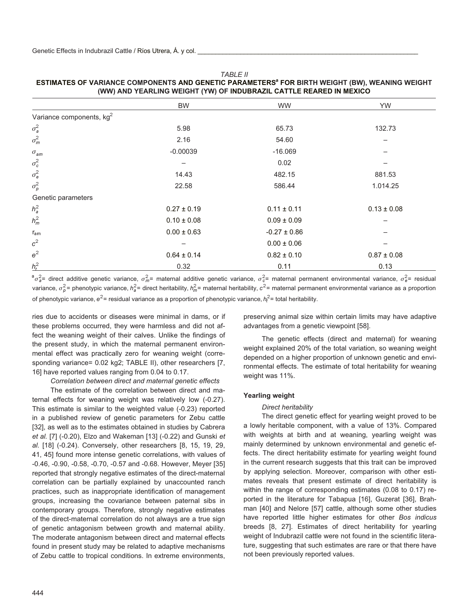#### *TABLE II*

# **ESTIMATES OF VARIANCE COMPONENTS AND GENETIC PARAMETERS FOR BIRTH WEIGHT (BW), WEANING WEIGHT (WW) AND YEARLING WEIGHT (YW) OF INDUBRAZIL CATTLE REARED IN MEXICO**

|                            | BW              | <b>WW</b>        | <b>YW</b>       |
|----------------------------|-----------------|------------------|-----------------|
| Variance components, $kg2$ |                 |                  |                 |
| $\sigma_a^2$               | 5.98            | 65.73            | 132.73          |
| $\sigma_m^2$               | 2.16            | 54.60            | -               |
| $\sigma_{\rm am}$          | $-0.00039$      | $-16.069$        |                 |
| $\sigma_{c}^{2}$           | -               | 0.02             |                 |
| $\sigma_{\rm e}^2$         | 14.43           | 482.15           | 881.53          |
| $\sigma_p^2$               | 22.58           | 586.44           | 1.014.25        |
| Genetic parameters         |                 |                  |                 |
| $h_a^2$                    | $0.27 \pm 0.19$ | $0.11 \pm 0.11$  | $0.13 \pm 0.08$ |
| $h_m^2$                    | $0.10 \pm 0.08$ | $0.09 \pm 0.09$  |                 |
| $r_{am}$                   | $0.00 \pm 0.63$ | $-0.27 \pm 0.86$ |                 |
| $c^2$                      |                 | $0.00 \pm 0.06$  |                 |
| $e^2$                      | $0.64 \pm 0.14$ | $0.82 \pm 0.10$  | $0.87 \pm 0.08$ |
| $h_t^2$                    | 0.32            | 0.11             | 0.13            |
|                            |                 |                  |                 |

 ${}^a\sigma_a^2$ = direct additive genetic variance,  $\sigma_m^2$ = maternal additive genetic variance,  $\sigma_c^2$ = maternal permanent environmental variance,  $\sigma_e^2$ = residual variance,  $\sigma_p^2$ = phenotypic variance,  $h_a^2$ = direct heritability,  $h_m^2$ = maternal heritability,  $c^2$ = maternal permanent environmental variance as a proportion of phenotypic variance,  $e^2$ = residual variance as a proportion of phenotypic variance,  $h^2_t$ = total heritability.

ries due to accidents or diseases were minimal in dams, or if these problems occurred, they were harmless and did not affect the weaning weight of their calves. Unlike the findings of the present study, in which the maternal permanent environmental effect was practically zero for weaning weight (corresponding variance= 0.02 kg2; TABLE II), other researchers [7, 16] have reported values ranging from 0.04 to 0.17.

*Correlation between direct and maternal genetic effects*

The estimate of the correlation between direct and maternal effects for weaning weight was relatively low (-0.27). This estimate is similar to the weighted value (-0.23) reported in a published review of genetic parameters for Zebu cattle [32], as well as to the estimates obtained in studies by Cabrera *et al.* [7] (-0.20), Elzo and Wakeman [13] (-0.22) and Gunski *et al.* [18] (-0.24). Conversely, other researchers [8, 15, 19, 29, 41, 45] found more intense genetic correlations, with values of -0.46, -0.90, -0.58, -0.70, -0.57 and -0.68. However, Meyer [35] reported that strongly negative estimates of the direct-maternal correlation can be partially explained by unaccounted ranch practices, such as inappropriate identification of management groups, increasing the covariance between paternal sibs in contemporary groups. Therefore, strongly negative estimates of the direct-maternal correlation do not always are a true sign of genetic antagonism between growth and maternal ability. The moderate antagonism between direct and maternal effects found in present study may be related to adaptive mechanisms of Zebu cattle to tropical conditions. In extreme environments,

preserving animal size within certain limits may have adaptive advantages from a genetic viewpoint [58].

The genetic effects (direct and maternal) for weaning weight explained 20% of the total variation, so weaning weight depended on a higher proportion of unknown genetic and environmental effects. The estimate of total heritability for weaning weight was 11%.

#### **Yearling weight**

#### *Direct heritability*

The direct genetic effect for yearling weight proved to be a lowly heritable component, with a value of 13%. Compared with weights at birth and at weaning, yearling weight was mainly determined by unknown environmental and genetic effects. The direct heritability estimate for yearling weight found in the current research suggests that this trait can be improved by applying selection. Moreover, comparison with other estimates reveals that present estimate of direct heritability is within the range of corresponding estimates (0.08 to 0.17) reported in the literature for Tabapua [16], Guzerat [36], Brahman [40] and Nelore [57] cattle, although some other studies have reported little higher estimates for other *Bos indicus* breeds [8, 27]. Estimates of direct heritability for yearling weight of Indubrazil cattle were not found in the scientific literature, suggesting that such estimates are rare or that there have not been previously reported values.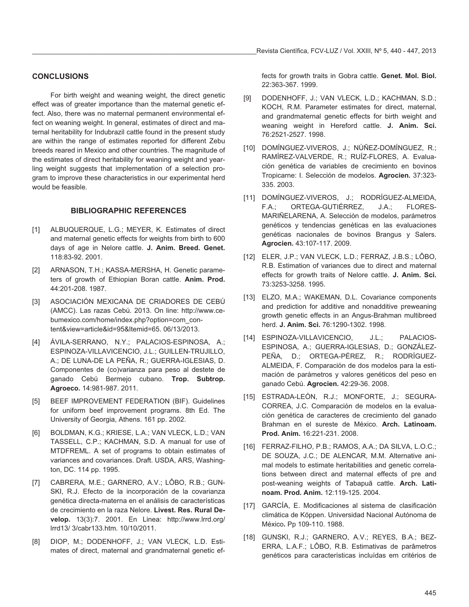# **CONCLUSIONS**

For birth weight and weaning weight, the direct genetic effect was of greater importance than the maternal genetic effect. Also, there was no maternal permanent environmental effect on weaning weight. In general, estimates of direct and maternal heritability for Indubrazil cattle found in the present study are within the range of estimates reported for different Zebu breeds reared in Mexico and other countries. The magnitude of the estimates of direct heritability for weaning weight and yearling weight suggests that implementation of a selection program to improve these characteristics in our experimental herd would be feasible.

# **BIBLIOGRAPHIC REFERENCES**

- [1] ALBUQUERQUE, L.G.; MEYER, K. Estimates of direct and maternal genetic effects for weights from birth to 600 days of age in Nelore cattle. **J. Anim. Breed. Genet.** 118:83-92. 2001.
- [2] ARNASON, T.H.; KASSA-MERSHA, H. Genetic parameters of growth of Ethiopian Boran cattle. **Anim. Prod.** 44:201-208. 1987.
- [3] ASOCIACIÓN MEXICANA DE CRIADORES DE CEBÚ (AMCC). Las razas Cebú. 2013. On line: http://www.cebumexico.com/home/index.php?option=com\_content&view=article&id=95&Itemid=65. 06/13/2013.
- [4] ÁVILA-SERRANO, N.Y.; PALACIOS-ESPINOSA, A.; ESPINOZA-VILLAVICENCIO, J.L.; GUILLEN-TRUJILLO, A.; DE LUNA-DE LA PEÑA, R.; GUERRA-IGLESIAS, D. Componentes de (co)varianza para peso al destete de ganado Cebú Bermejo cubano. **Trop. Subtrop. Agroeco.** 14:981-987. 2011.
- [5] BEEF IMPROVEMENT FEDERATION (BIF). Guidelines for uniform beef improvement programs. 8th Ed. The University of Georgia, Athens. 161 pp. 2002.
- [6] BOLDMAN, K.G.; KRIESE, L.A.; VAN VLECK, L.D.; VAN TASSELL, C.P.; KACHMAN, S.D. A manual for use of MTDFREML. A set of programs to obtain estimates of variances and covariances. Draft. USDA, ARS, Washington, DC. 114 pp. 1995.
- [7] CABRERA, M.E.; GARNERO, A.V.; LÔBO, R.B.; GUN-SKI, R.J. Efecto de la incorporación de la covarianza genética directa-materna en el análisis de características de crecimiento en la raza Nelore. **Livest. Res. Rural Develop.** 13(3):7. 2001. En Linea: http://www.lrrd.org/ lrrd13/ 3/cabr133.htm. 10/10/2011.
- [8] DIOP, M.; DODENHOFF, J.; VAN VLECK, L.D. Estimates of direct, maternal and grandmaternal genetic ef-

fects for growth traits in Gobra cattle. **Genet. Mol. Biol.** 22:363-367. 1999.

- [9] DODENHOFF, J.; VAN VLECK, L.D.; KACHMAN, S.D.; KOCH, R.M. Parameter estimates for direct, maternal, and grandmaternal genetic effects for birth weight and weaning weight in Hereford cattle. **J. Anim. Sci.** 76:2521-2527. 1998.
- [10] DOMÍNGUEZ-VIVEROS, J.; NÚÑEZ-DOMÍNGUEZ, R.; RAMÍREZ-VALVERDE, R.; RUÍZ-FLORES, A. Evaluación genética de variables de crecimiento en bovinos Tropicarne: I. Selección de modelos. **Agrocien.** 37:323- 335. 2003.
- [11] DOMÍNGUEZ-VIVEROS, J.; RODRÍGUEZ-ALMEIDA, F.A.; ORTEGA-GUTIÉRREZ, J.A.; FLORES-MARIÑELARENA, A. Selección de modelos, parámetros genéticos y tendencias genéticas en las evaluaciones genéticas nacionales de bovinos Brangus y Salers. **Agrocien.** 43:107-117. 2009.
- [12] ELER, J.P.; VAN VLECK, L.D.; FERRAZ, J.B.S.; LÔBO, R.B. Estimation of variances due to direct and maternal effects for growth traits of Nelore cattle. **J. Anim. Sci.** 73:3253-3258. 1995.
- [13] ELZO, M.A.; WAKEMAN, D.L. Covariance components and prediction for additive and nonadditive preweaning growth genetic effects in an Angus-Brahman multibreed herd. **J. Anim. Sci.** 76:1290-1302. 1998.
- [14] ESPINOZA-VILLAVICENCIO, J.L.; PALACIOS-ESPINOSA, A.; GUERRA-IGLESIAS, D.; GONZÁLEZ-PEÑA, D.; ORTEGA-PÉREZ, R.; RODRÍGUEZ-ALMEIDA, F. Comparación de dos modelos para la estimación de parámetros y valores genéticos del peso en ganado Cebú. **Agrocien.** 42:29-36. 2008.
- [15] ESTRADA-LEÓN, R.J.; MONFORTE, J.; SEGURA-CORREA, J.C. Comparación de modelos en la evaluación genética de caracteres de crecimiento del ganado Brahman en el sureste de México. **Arch. Latinoam. Prod. Anim.** 16:221-231. 2008.
- [16] FERRAZ-FILHO, P.B.; RAMOS, A.A.; DA SILVA, L.O.C.; DE SOUZA, J.C.; DE ALENCAR, M.M. Alternative animal models to estimate heritabilities and genetic correlations between direct and maternal effects of pre and post-weaning weights of Tabapuã cattle. **Arch. Latinoam. Prod. Anim.** 12:119-125. 2004.
- [17] GARCÍA, E. Modificaciones al sistema de clasificación climática de Köppen. Universidad Nacional Autónoma de México**.** Pp 109-110. 1988.
- [18] GUNSKI, R.J.; GARNERO, A.V.; REYES, B.A.; BEZ-ERRA, L.A.F.; LÔBO, R.B. Estimativas de parâmetros genéticos para características incluídas em critérios de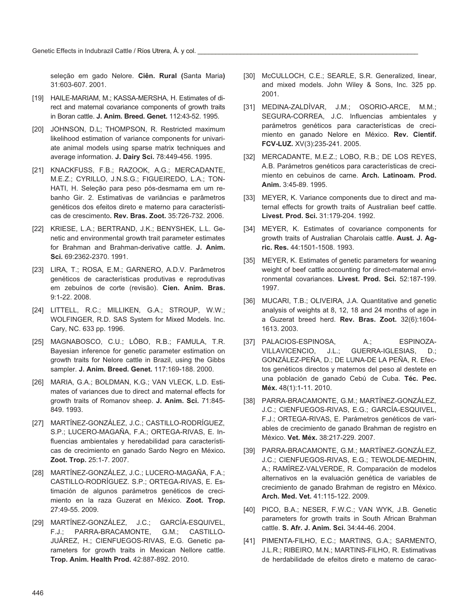seleção em gado Nelore. **Ciên. Rural (**Santa Maria**)** 31:603-607. 2001.

- [19] HAILE-MARIAM, M.; KASSA-MERSHA, H. Estimates of direct and maternal covariance components of growth traits in Boran cattle. **J. Anim. Breed. Genet.** 112:43-52. 1995.
- [20] JOHNSON, D.L; THOMPSON, R. Restricted maximum likelihood estimation of variance components for univariate animal models using sparse matrix techniques and average information. **J. Dairy Sci.** 78:449-456. 1995.
- [21] KNACKFUSS, F.B.; RAZOOK, A.G.; MERCADANTE, M.E.Z.; CYRILLO, J.N.S.G.; FIGUEIREDO, L.A.; TON-HATI, H. Seleção para peso pós-desmama em um rebanho Gir. 2. Estimativas de variâncias e parâmetros genéticos dos efeitos direto e materno para características de crescimento**. Rev. Bras. Zoot.** 35:726-732. 2006.
- [22] KRIESE, L.A.; BERTRAND, J.K.; BENYSHEK, L.L. Genetic and environmental growth trait parameter estimates for Brahman and Brahman-derivative cattle. **J. Anim. Sci.** 69:2362-2370. 1991.
- [23] LIRA, T.; ROSA, E.M.; GARNERO, A.D.V. Parâmetros genéticos de características produtivas e reprodutivas em zebuínos de corte (revisão). **Cien. Anim. Bras.** 9:1-22. 2008.
- [24] LITTELL, R.C.; MILLIKEN, G.A.; STROUP, W.W.; WOLFINGER, R.D. SAS System for Mixed Models. Inc. Cary, NC. 633 pp. 1996.
- [25] MAGNABOSCO, C.U.; LÔBO, R.B.; FAMULA, T.R. Bayesian inference for genetic parameter estimation on growth traits for Nelore cattle in Brazil, using the Gibbs sampler. **J. Anim. Breed. Genet.** 117:169-188. 2000.
- [26] MARIA, G.A.; BOLDMAN, K.G.; VAN VLECK, L.D. Estimates of variances due to direct and maternal effects for growth traits of Romanov sheep. **J. Anim. Sci.** 71:845- 849. 1993.
- [27] MARTÍNEZ-GONZÁLEZ, J.C.; CASTILLO-RODRÍGUEZ, S.P.; LUCERO-MAGAÑA, F.A.; ORTEGA-RIVAS, E. Influencias ambientales y heredabilidad para características de crecimiento en ganado Sardo Negro en México**. Zoot. Trop.** 25:1-7. 2007.
- [28] MARTÍNEZ-GONZÁLEZ, J.C.; LUCERO-MAGAÑA, F.A.; CASTILLO-RODRÍGUEZ. S.P.; ORTEGA-RIVAS, E. Estimación de algunos parámetros genéticos de crecimiento en la raza Guzerat en México. **Zoot. Trop.** 27:49-55. 2009.
- [29] MARTÍNEZ-GONZÁLEZ, J.C.; GARCÍA-ESQUIVEL, F.J.; PARRA-BRACAMONTE, G.M.; CASTILLO-JUÁREZ, H.; CIENFUEGOS-RIVAS, E.G. Genetic parameters for growth traits in Mexican Nellore cattle. **Trop. Anim. Health Prod.** 42:887-892. 2010.
- [30] McCULLOCH, C.E.; SEARLE, S.R. Generalized, linear, and mixed models. John Wiley & Sons, Inc. 325 pp. 2001.
- [31] MEDINA-ZALDÍVAR, J.M.; OSORIO-ARCE, M.M.; SEGURA-CORREA, J.C. Influencias ambientales y parámetros genéticos para características de crecimiento en ganado Nelore en México. **Rev. Científ. FCV-LUZ.** XV(3):235-241. 2005.
- [32] MERCADANTE, M.E.Z.; LOBO, R.B.; DE LOS REYES, A.B. Parámetros genéticos para características de crecimiento en cebuinos de carne. **Arch. Latinoam. Prod. Anim.** 3:45-89. 1995.
- [33] MEYER, K. Variance components due to direct and maternal effects for growth traits of Australian beef cattle. **Livest. Prod. Sci.** 31:179-204. 1992.
- [34] MEYER, K. Estimates of covariance components for growth traits of Australian Charolais cattle. **Aust. J. Agric. Res.** 44:1501-1508. 1993.
- [35] MEYER, K. Estimates of genetic parameters for weaning weight of beef cattle accounting for direct-maternal environmental covariances. **Livest. Prod. Sci.** 52:187-199. 1997.
- [36] MUCARI, T.B.; OLIVEIRA, J.A. Quantitative and genetic analysis of weights at 8, 12, 18 and 24 months of age in a Guzerat breed herd. **Rev. Bras. Zoot.** 32(6):1604- 1613. 2003.
- [37] PALACIOS-ESPINOSA, A.; ESPINOZA-VILLAVICENCIO, J.L.; GUERRA-IGLESIAS, D.; GONZÁLEZ-PEÑA, D.; DE LUNA-DE LA PEÑA, R. Efectos genéticos directos y maternos del peso al destete en una población de ganado Cebú de Cuba. **Téc. Pec. Méx.** 48(1):1-11. 2010.
- [38] PARRA-BRACAMONTE, G.M.; MARTÍNEZ-GONZÁLEZ, J.C.; CIENFUEGOS-RIVAS, E.G.; GARCÍA-ESQUIVEL, F.J.; ORTEGA-RIVAS, E. Parámetros genéticos de variables de crecimiento de ganado Brahman de registro en México. **Vet. Méx.** 38:217-229. 2007.
- [39] PARRA-BRACAMONTE, G.M.; MARTÍNEZ-GONZÁLEZ, J.C.; CIENFUEGOS-RIVAS, E.G.; TEWOLDE-MEDHIN, A.; RAMÍREZ-VALVERDE, R. Comparación de modelos alternativos en la evaluación genética de variables de crecimiento de ganado Brahman de registro en México. **Arch. Med. Vet.** 41:115-122. 2009.
- [40] PICO, B.A.; NESER, F.W.C.; VAN WYK, J.B. Genetic parameters for growth traits in South African Brahman cattle. **S. Afr. J. Anim. Sci.** 34:44-46. 2004.
- [41] PIMENTA-FILHO, E.C.; MARTINS, G.A.; SARMENTO, J.L.R.; RIBEIRO, M.N.; MARTINS-FILHO, R. Estimativas de herdabilidade de efeitos direto e materno de carac-